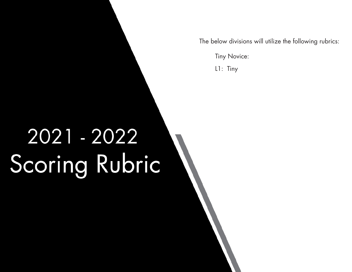The below divisions will utilize the following rubrics:

Tiny Novice:

L1: Tiny

## 2021 - 2022 Scoring Rubric